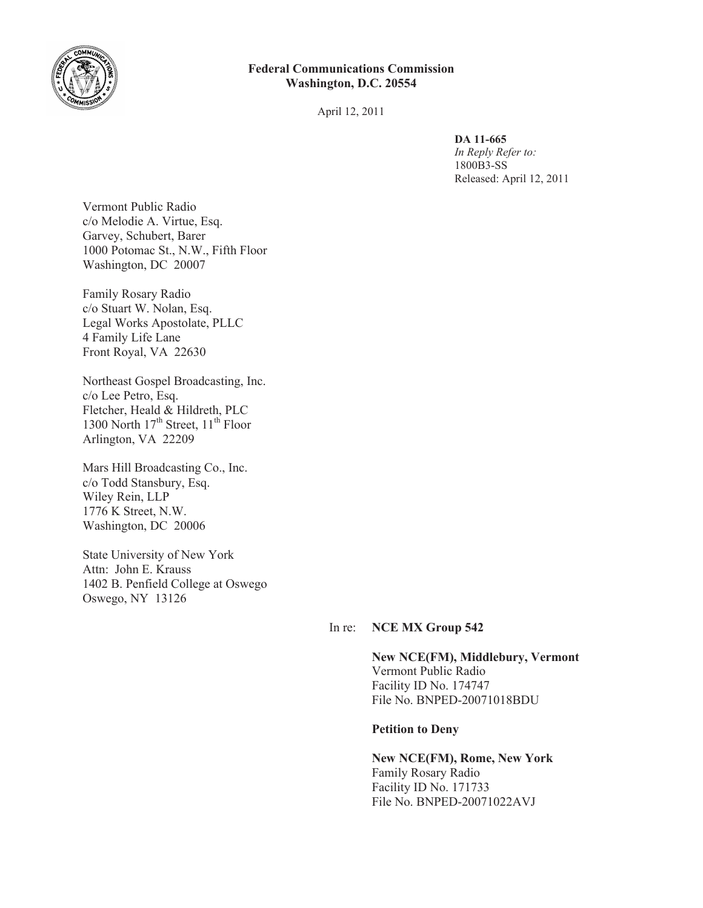

# **Federal Communications Commission Washington, D.C. 20554**

April 12, 2011

**DA 11-665**

*In Reply Refer to:* 1800B3-SS Released: April 12, 2011

Vermont Public Radio c/o Melodie A. Virtue, Esq. Garvey, Schubert, Barer 1000 Potomac St., N.W., Fifth Floor Washington, DC 20007

Family Rosary Radio c/o Stuart W. Nolan, Esq. Legal Works Apostolate, PLLC 4 Family Life Lane Front Royal, VA 22630

Northeast Gospel Broadcasting, Inc. c/o Lee Petro, Esq. Fletcher, Heald & Hildreth, PLC 1300 North  $17<sup>th</sup>$  Street,  $11<sup>th</sup>$  Floor Arlington, VA 22209

Mars Hill Broadcasting Co., Inc. c/o Todd Stansbury, Esq. Wiley Rein, LLP 1776 K Street, N.W. Washington, DC 20006

State University of New York Attn: John E. Krauss 1402 B. Penfield College at Oswego Oswego, NY 13126

# In re: **NCE MX Group 542**

**New NCE(FM), Middlebury, Vermont** Vermont Public Radio Facility ID No. 174747 File No. BNPED-20071018BDU

#### **Petition to Deny**

**New NCE(FM), Rome, New York** Family Rosary Radio Facility ID No. 171733 File No. BNPED-20071022AVJ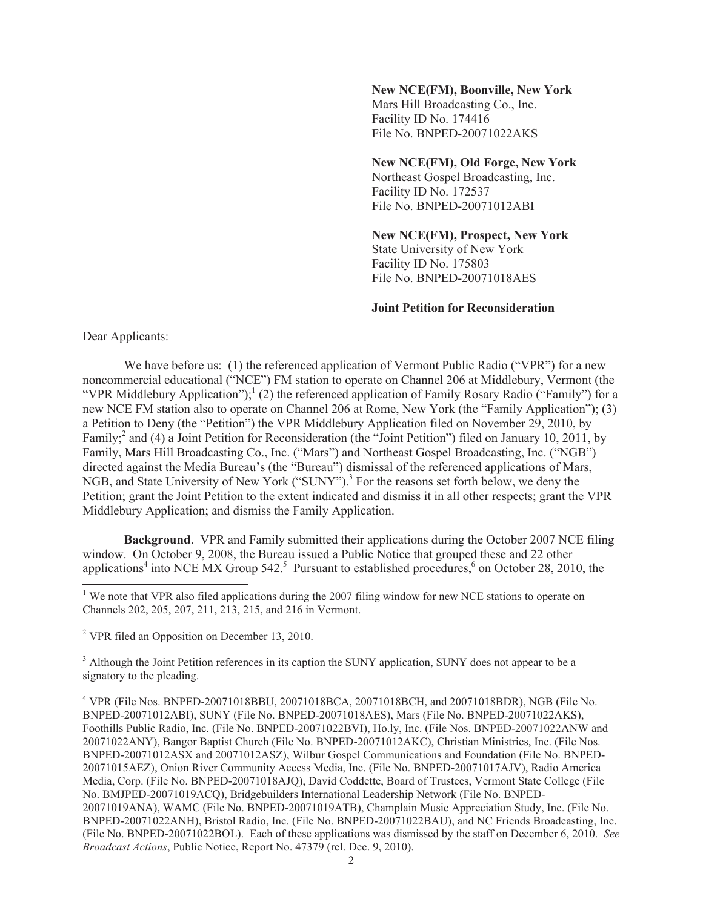## **New NCE(FM), Boonville, New York**

Mars Hill Broadcasting Co., Inc. Facility ID No. 174416 File No. BNPED-20071022AKS

### **New NCE(FM), Old Forge, New York**

Northeast Gospel Broadcasting, Inc. Facility ID No. 172537 File No. BNPED-20071012ABI

### **New NCE(FM), Prospect, New York**

State University of New York Facility ID No. 175803 File No. BNPED-20071018AES

#### **Joint Petition for Reconsideration**

Dear Applicants:

We have before us: (1) the referenced application of Vermont Public Radio ("VPR") for a new noncommercial educational ("NCE") FM station to operate on Channel 206 at Middlebury, Vermont (the "VPR Middlebury Application");<sup>1</sup> (2) the referenced application of Family Rosary Radio ("Family") for a new NCE FM station also to operate on Channel 206 at Rome, New York (the "Family Application"); (3) a Petition to Deny (the "Petition") the VPR Middlebury Application filed on November 29, 2010, by Family;<sup>2</sup> and (4) a Joint Petition for Reconsideration (the "Joint Petition") filed on January 10, 2011, by Family, Mars Hill Broadcasting Co., Inc. ("Mars") and Northeast Gospel Broadcasting, Inc. ("NGB") directed against the Media Bureau's (the "Bureau") dismissal of the referenced applications of Mars, NGB, and State University of New York ("SUNY").<sup>3</sup> For the reasons set forth below, we deny the Petition; grant the Joint Petition to the extent indicated and dismiss it in all other respects; grant the VPR Middlebury Application; and dismiss the Family Application.

**Background**. VPR and Family submitted their applications during the October 2007 NCE filing window. On October 9, 2008, the Bureau issued a Public Notice that grouped these and 22 other applications<sup>4</sup> into NCE MX Group 542.<sup>5</sup> Pursuant to established procedures,  $6$  on October 28, 2010, the

<sup>3</sup> Although the Joint Petition references in its caption the SUNY application, SUNY does not appear to be a signatory to the pleading.

<sup>&</sup>lt;sup>1</sup> We note that VPR also filed applications during the 2007 filing window for new NCE stations to operate on Channels 202, 205, 207, 211, 213, 215, and 216 in Vermont.

<sup>2</sup> VPR filed an Opposition on December 13, 2010.

<sup>4</sup> VPR (File Nos. BNPED-20071018BBU, 20071018BCA, 20071018BCH, and 20071018BDR), NGB (File No. BNPED-20071012ABI), SUNY (File No. BNPED-20071018AES), Mars (File No. BNPED-20071022AKS), Foothills Public Radio, Inc. (File No. BNPED-20071022BVI), Ho.ly, Inc. (File Nos. BNPED-20071022ANW and 20071022ANY), Bangor Baptist Church (File No. BNPED-20071012AKC), Christian Ministries, Inc. (File Nos. BNPED-20071012ASX and 20071012ASZ), Wilbur Gospel Communications and Foundation (File No. BNPED-20071015AEZ), Onion River Community Access Media, Inc. (File No. BNPED-20071017AJV), Radio America Media, Corp. (File No. BNPED-20071018AJQ), David Coddette, Board of Trustees, Vermont State College (File No. BMJPED-20071019ACQ), Bridgebuilders International Leadership Network (File No. BNPED-20071019ANA), WAMC (File No. BNPED-20071019ATB), Champlain Music Appreciation Study, Inc. (File No. BNPED-20071022ANH), Bristol Radio, Inc. (File No. BNPED-20071022BAU), and NC Friends Broadcasting, Inc. (File No. BNPED-20071022BOL). Each of these applications was dismissed by the staff on December 6, 2010. *See Broadcast Actions*, Public Notice, Report No. 47379 (rel. Dec. 9, 2010).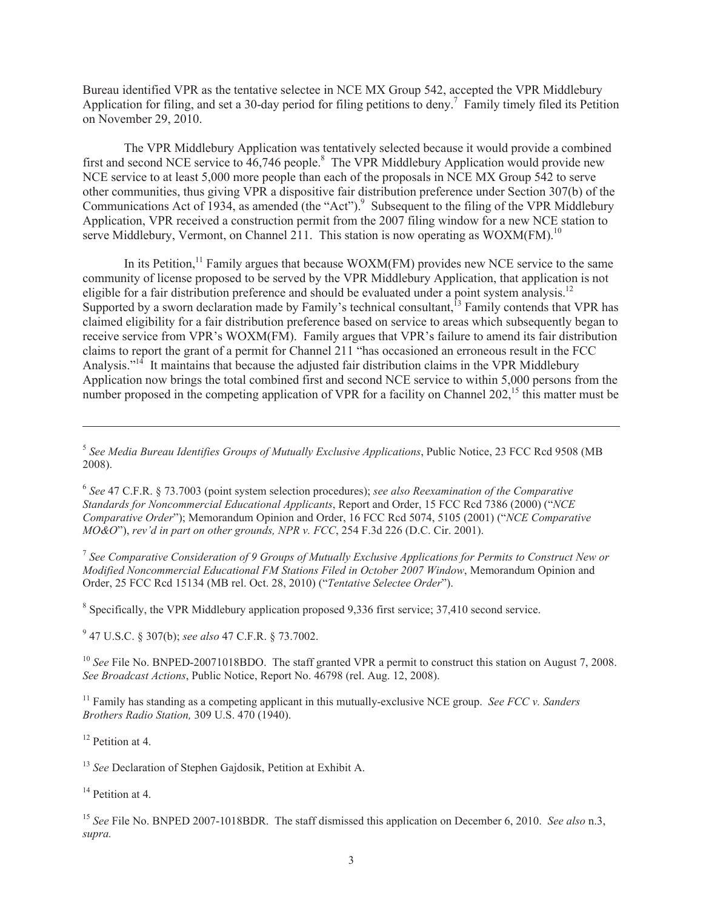Bureau identified VPR as the tentative selectee in NCE MX Group 542, accepted the VPR Middlebury Application for filing, and set a 30-day period for filing petitions to deny.<sup>7</sup> Family timely filed its Petition on November 29, 2010.

The VPR Middlebury Application was tentatively selected because it would provide a combined first and second NCE service to  $46,746$  people.<sup>8</sup> The VPR Middlebury Application would provide new NCE service to at least 5,000 more people than each of the proposals in NCE MX Group 542 to serve other communities, thus giving VPR a dispositive fair distribution preference under Section 307(b) of the Communications Act of 1934, as amended (the "Act").<sup>9</sup> Subsequent to the filing of the VPR Middlebury Application, VPR received a construction permit from the 2007 filing window for a new NCE station to serve Middlebury, Vermont, on Channel 211. This station is now operating as  $WOXM(FM)$ <sup>10</sup>

In its Petition, $11$  Family argues that because WOXM(FM) provides new NCE service to the same community of license proposed to be served by the VPR Middlebury Application, that application is not eligible for a fair distribution preference and should be evaluated under a point system analysis.<sup>12</sup> Supported by a sworn declaration made by Family's technical consultant, $^{13}$  Family contends that VPR has claimed eligibility for a fair distribution preference based on service to areas which subsequently began to receive service from VPR's WOXM(FM). Family argues that VPR's failure to amend its fair distribution claims to report the grant of a permit for Channel 211 "has occasioned an erroneous result in the FCC Analysis."<sup>14</sup> It maintains that because the adjusted fair distribution claims in the VPR Middlebury Application now brings the total combined first and second NCE service to within 5,000 persons from the number proposed in the competing application of VPR for a facility on Channel 202,<sup>15</sup> this matter must be

7 *See Comparative Consideration of 9 Groups of Mutually Exclusive Applications for Permits to Construct New or Modified Noncommercial Educational FM Stations Filed in October 2007 Window*, Memorandum Opinion and Order, 25 FCC Rcd 15134 (MB rel. Oct. 28, 2010) ("*Tentative Selectee Order*").

<sup>8</sup> Specifically, the VPR Middlebury application proposed 9,336 first service; 37,410 second service.

9 47 U.S.C. § 307(b); *see also* 47 C.F.R. § 73.7002.

<sup>10</sup> *See* File No. BNPED-20071018BDO. The staff granted VPR a permit to construct this station on August 7, 2008. *See Broadcast Actions*, Public Notice, Report No. 46798 (rel. Aug. 12, 2008).

<sup>11</sup> Family has standing as a competing applicant in this mutually-exclusive NCE group. *See FCC v. Sanders Brothers Radio Station,* 309 U.S. 470 (1940).

 $12$  Petition at 4.

<sup>13</sup> *See* Declaration of Stephen Gajdosik, Petition at Exhibit A.

 $14$  Petition at 4.

<sup>15</sup> *See* File No. BNPED 2007-1018BDR. The staff dismissed this application on December 6, 2010. *See also* n.3, *supra.*

<sup>5</sup> *See Media Bureau Identifies Groups of Mutually Exclusive Applications*, Public Notice, 23 FCC Rcd 9508 (MB 2008).

<sup>6</sup> *See* 47 C.F.R. § 73.7003 (point system selection procedures); *see also Reexamination of the Comparative Standards for Noncommercial Educational Applicants*, Report and Order, 15 FCC Rcd 7386 (2000) ("*NCE Comparative Order*"); Memorandum Opinion and Order, 16 FCC Rcd 5074, 5105 (2001) ("*NCE Comparative MO&O*"), *rev'd in part on other grounds, NPR v. FCC*, 254 F.3d 226 (D.C. Cir. 2001).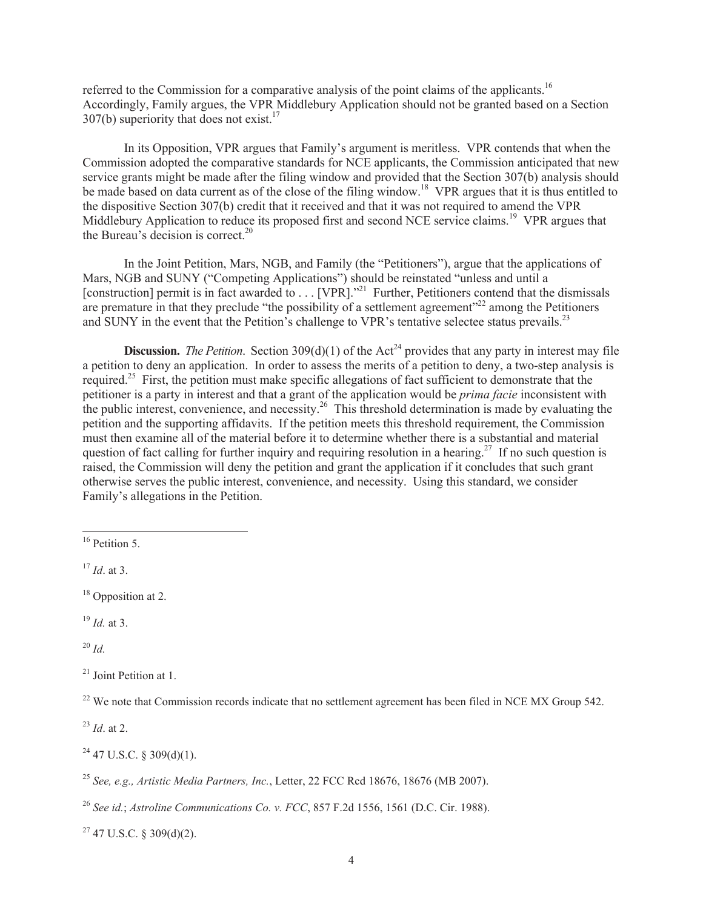referred to the Commission for a comparative analysis of the point claims of the applicants.<sup>16</sup> Accordingly, Family argues, the VPR Middlebury Application should not be granted based on a Section 307(b) superiority that does not exist.<sup>17</sup>

In its Opposition, VPR argues that Family's argument is meritless. VPR contends that when the Commission adopted the comparative standards for NCE applicants, the Commission anticipated that new service grants might be made after the filing window and provided that the Section 307(b) analysis should be made based on data current as of the close of the filing window.<sup>18</sup> VPR argues that it is thus entitled to the dispositive Section 307(b) credit that it received and that it was not required to amend the VPR Middlebury Application to reduce its proposed first and second NCE service claims.<sup>19</sup> VPR argues that the Bureau's decision is correct.<sup>20</sup>

In the Joint Petition, Mars, NGB, and Family (the "Petitioners"), argue that the applications of Mars, NGB and SUNY ("Competing Applications") should be reinstated "unless and until a [construction] permit is in fact awarded to . . . [VPR]."<sup>21</sup> Further, Petitioners contend that the dismissals are premature in that they preclude "the possibility of a settlement agreement" $^{22}$  among the Petitioners and SUNY in the event that the Petition's challenge to VPR's tentative selectee status prevails.<sup>23</sup>

**Discussion.** *The Petition*. Section 309(d)(1) of the Act<sup>24</sup> provides that any party in interest may file a petition to deny an application. In order to assess the merits of a petition to deny, a two-step analysis is required.<sup>25</sup> First, the petition must make specific allegations of fact sufficient to demonstrate that the petitioner is a party in interest and that a grant of the application would be *prima facie* inconsistent with the public interest, convenience, and necessity.<sup>26</sup> This threshold determination is made by evaluating the petition and the supporting affidavits. If the petition meets this threshold requirement, the Commission must then examine all of the material before it to determine whether there is a substantial and material question of fact calling for further inquiry and requiring resolution in a hearing.<sup>27</sup> If no such question is raised, the Commission will deny the petition and grant the application if it concludes that such grant otherwise serves the public interest, convenience, and necessity. Using this standard, we consider Family's allegations in the Petition.

<sup>19</sup> *Id.* at 3.

<sup>20</sup> *Id.*

 $^{22}$  We note that Commission records indicate that no settlement agreement has been filed in NCE MX Group 542.

<sup>23</sup> *Id*. at 2.

 $24$  47 U.S.C. § 309(d)(1).

 $27$  47 U.S.C. § 309(d)(2).

<sup>&</sup>lt;sup>16</sup> Petition 5.

<sup>17</sup> *Id*. at 3.

<sup>&</sup>lt;sup>18</sup> Opposition at 2.

<sup>21</sup> Joint Petition at 1.

<sup>25</sup> *See, e.g., Artistic Media Partners, Inc.*, Letter, 22 FCC Rcd 18676, 18676 (MB 2007).

<sup>26</sup> *See id.*; *Astroline Communications Co. v. FCC*, 857 F.2d 1556, 1561 (D.C. Cir. 1988).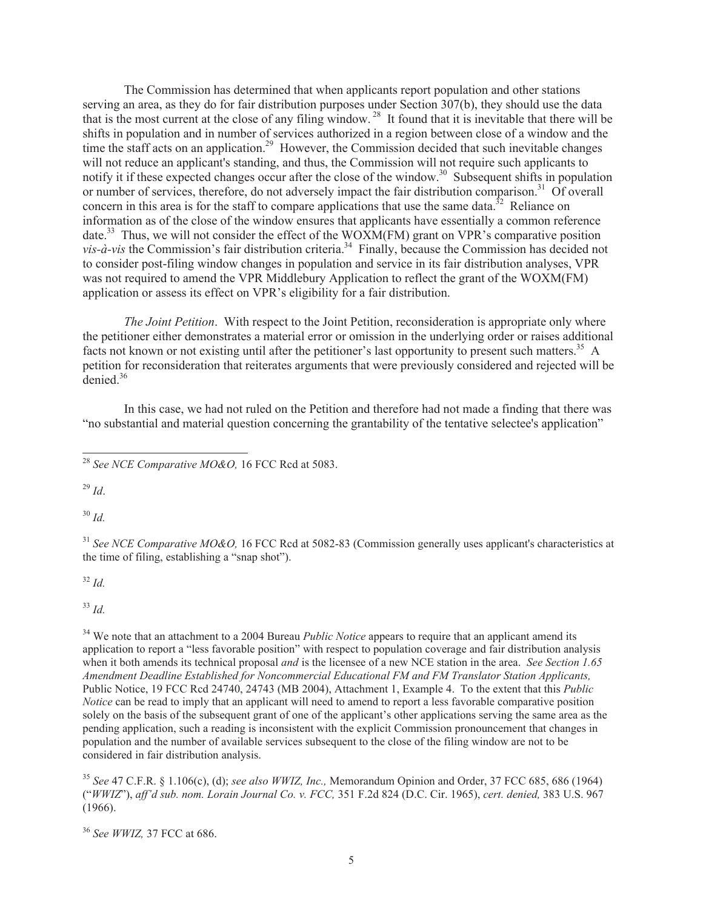The Commission has determined that when applicants report population and other stations serving an area, as they do for fair distribution purposes under Section 307(b), they should use the data that is the most current at the close of any filing window.<sup>28</sup> It found that it is inevitable that there will be shifts in population and in number of services authorized in a region between close of a window and the time the staff acts on an application.<sup>29</sup> However, the Commission decided that such inevitable changes will not reduce an applicant's standing, and thus, the Commission will not require such applicants to notify it if these expected changes occur after the close of the window.<sup>30</sup> Subsequent shifts in population or number of services, therefore, do not adversely impact the fair distribution comparison.<sup>31</sup> Of overall concern in this area is for the staff to compare applications that use the same data.<sup>32</sup> Reliance on information as of the close of the window ensures that applicants have essentially a common reference date.<sup>33</sup> Thus, we will not consider the effect of the WOXM(FM) grant on VPR's comparative position *vis-à-vis* the Commission's fair distribution criteria.<sup>34</sup> Finally, because the Commission has decided not to consider post-filing window changes in population and service in its fair distribution analyses, VPR was not required to amend the VPR Middlebury Application to reflect the grant of the WOXM(FM) application or assess its effect on VPR's eligibility for a fair distribution.

*The Joint Petition*. With respect to the Joint Petition, reconsideration is appropriate only where the petitioner either demonstrates a material error or omission in the underlying order or raises additional facts not known or not existing until after the petitioner's last opportunity to present such matters.<sup>35</sup> A petition for reconsideration that reiterates arguments that were previously considered and rejected will be denied.<sup>36</sup>

In this case, we had not ruled on the Petition and therefore had not made a finding that there was "no substantial and material question concerning the grantability of the tentative selectee's application"

<sup>29</sup> *Id*.

<sup>30</sup> *Id.*

<sup>31</sup> See NCE Comparative MO&O, 16 FCC Rcd at 5082-83 (Commission generally uses applicant's characteristics at the time of filing, establishing a "snap shot").

<sup>32</sup> *Id.*

<sup>33</sup> *Id.*

<sup>34</sup> We note that an attachment to a 2004 Bureau *Public Notice* appears to require that an applicant amend its application to report a "less favorable position" with respect to population coverage and fair distribution analysis when it both amends its technical proposal *and* is the licensee of a new NCE station in the area. *See Section 1.65 Amendment Deadline Established for Noncommercial Educational FM and FM Translator Station Applicants,*  Public Notice, 19 FCC Rcd 24740, 24743 (MB 2004), Attachment 1, Example 4. To the extent that this *Public Notice* can be read to imply that an applicant will need to amend to report a less favorable comparative position solely on the basis of the subsequent grant of one of the applicant's other applications serving the same area as the pending application, such a reading is inconsistent with the explicit Commission pronouncement that changes in population and the number of available services subsequent to the close of the filing window are not to be considered in fair distribution analysis.

<sup>35</sup> *See* 47 C.F.R. § 1.106(c), (d); *see also WWIZ, Inc.,* Memorandum Opinion and Order, 37 FCC 685, 686 (1964) ("*WWIZ*"), *aff'd sub. nom. Lorain Journal Co. v. FCC,* 351 F.2d 824 (D.C. Cir. 1965), *cert. denied,* 383 U.S. 967 (1966).

<sup>36</sup> *See WWIZ,* 37 FCC at 686.

<sup>28</sup> *See NCE Comparative MO&O,* 16 FCC Rcd at 5083.